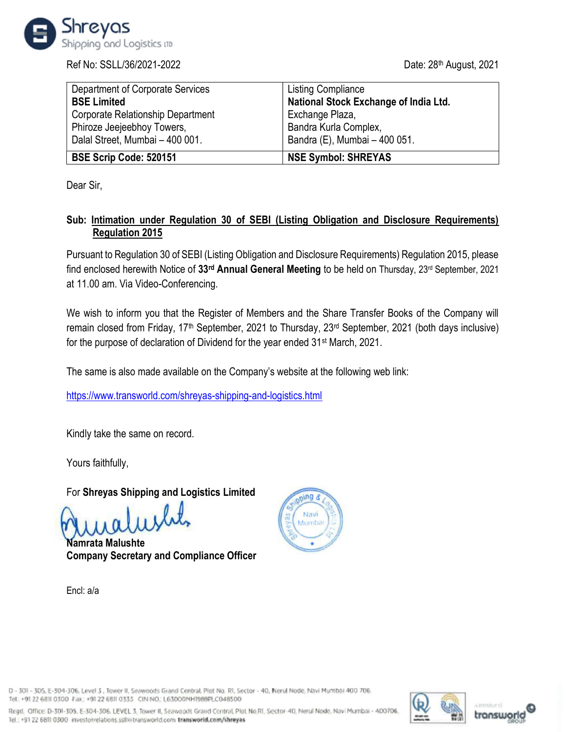

Ref No: SSLL/36/2021-2022 Date: 28<sup>th</sup> August, 2021

| Department of Corporate Services  | <b>Listing Compliance</b>             |
|-----------------------------------|---------------------------------------|
| <b>BSE Limited</b>                | National Stock Exchange of India Ltd. |
| Corporate Relationship Department | Exchange Plaza,                       |
| Phiroze Jeejeebhoy Towers,        | Bandra Kurla Complex,                 |
| Dalal Street, Mumbai - 400 001.   | Bandra (E), Mumbai - 400 051.         |
| BSE Scrip Code: 520151            | <b>NSE Symbol: SHREYAS</b>            |

Dear Sir,

# Sub: Intimation under Regulation 30 of SEBI (Listing Obligation and Disclosure Requirements) Regulation 2015

Pursuant to Regulation 30 of SEBI (Listing Obligation and Disclosure Requirements) Regulation 2015, please find enclosed herewith Notice of 33rd Annual General Meeting to be held on Thursday, 23rd September, 2021 at 11.00 am. Via Video-Conferencing.

We wish to inform you that the Register of Members and the Share Transfer Books of the Company will remain closed from Friday, 17th September, 2021 to Thursday, 23rd September, 2021 (both days inclusive) for the purpose of declaration of Dividend for the year ended 31st March, 2021.

The same is also made available on the Company's website at the following web link:

https://www.transworld.com/shreyas-shipping-and-logistics.html

Kindly take the same on record.

Yours faithfully,

For Shreyas Shipping and Logistics Limited

Namrata Malushte Company Secretary and Compliance Officer

Encl: a/a



D - 301 - 305, E-304-306, Level 3, Tower II, Seawoods Grand Central, Plot No. RI, Sector - 40, Nerul Node, Navi Mumbai 400 706. Tel: +91 22 6811 0300 Fax: +91 22 6811 0333 CIN NO; L63000MH1988PLC048500

Regd. Office: D-301-305. E-304-306. LEVEL 3, Tower II, Seawoods Grand Contral, Plot No.RI, Sector-40, Nerul Nodo. Navi Mumbai - 400706 Tel.: +91 22 6811 0300 investorrelations.ssllxitransworld.com transworld.com/shreyas



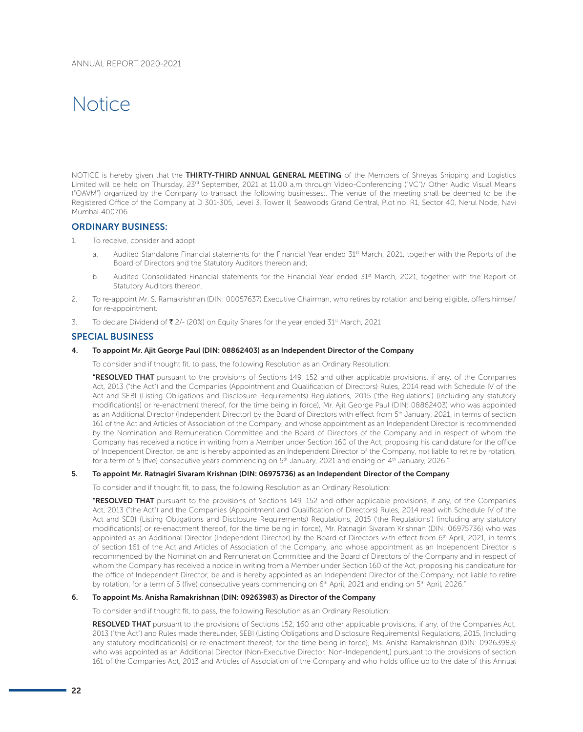# Notice

NOTICE is hereby given that the THIRTY-THIRD ANNUAL GENERAL MEETING of the Members of Shreyas Shipping and Logistics Limited will be held on Thursday, 23<sup>rd</sup> September, 2021 at 11.00 a.m through Video-Conferencing ("VC")/ Other Audio Visual Means ("OAVM") organized by the Company to transact the following businesses:. The venue of the meeting shall be deemed to be the Registered Office of the Company at D 301-305, Level 3, Tower II, Seawoods Grand Central, Plot no. R1, Sector 40, Nerul Node, Navi Mumbai-400706.

# ORDINARY BUSINESS:

- 1. To receive, consider and adopt :
	- a. Audited Standalone Financial statements for the Financial Year ended 31<sup>st</sup> March, 2021, together with the Reports of the Board of Directors and the Statutory Auditors thereon and;
	- b. Audited Consolidated Financial statements for the Financial Year ended 31st March, 2021, together with the Report of Statutory Auditors thereon.
- 2. To re-appoint Mr. S. Ramakrishnan (DIN: 00057637) Executive Chairman, who retires by rotation and being eligible, offers himself for re-appointment.
- 3. To declare Dividend of  $\bar{\mathbf{z}}$  2/- (20%) on Equity Shares for the year ended 31<sup>st</sup> March, 2021

#### SPECIAL BUSINESS

#### 4. To appoint Mr. Ajit George Paul (DIN: 08862403) as an Independent Director of the Company

To consider and if thought fit, to pass, the following Resolution as an Ordinary Resolution:

"RESOLVED THAT pursuant to the provisions of Sections 149, 152 and other applicable provisions, if any, of the Companies Act, 2013 ("the Act") and the Companies (Appointment and Qualification of Directors) Rules, 2014 read with Schedule IV of the Act and SEBI (Listing Obligations and Disclosure Requirements) Regulations, 2015 ('the Regulations') (including any statutory modification(s) or re-enactment thereof, for the time being in force), Mr. Ajit George Paul (DIN: 08862403) who was appointed as an Additional Director (Independent Director) by the Board of Directors with effect from 5<sup>th</sup> January, 2021, in terms of section 161 of the Act and Articles of Association of the Company, and whose appointment as an Independent Director is recommended by the Nomination and Remuneration Committee and the Board of Directors of the Company and in respect of whom the Company has received a notice in writing from a Member under Section 160 of the Act, proposing his candidature for the office of Independent Director, be and is hereby appointed as an Independent Director of the Company, not liable to retire by rotation, for a term of 5 (five) consecutive years commencing on  $5<sup>th</sup>$  January, 2021 and ending on  $4<sup>th</sup>$  January, 2026."

# 5. To appoint Mr. Ratnagiri Sivaram Krishnan (DIN: 06975736) as an Independent Director of the Company

To consider and if thought fit, to pass, the following Resolution as an Ordinary Resolution:

"RESOLVED THAT pursuant to the provisions of Sections 149, 152 and other applicable provisions, if any, of the Companies Act, 2013 ("the Act") and the Companies (Appointment and Qualification of Directors) Rules, 2014 read with Schedule IV of the Act and SEBI (Listing Obligations and Disclosure Requirements) Regulations, 2015 ('the Regulations') (including any statutory modification(s) or re-enactment thereof, for the time being in force), Mr. Ratnagiri Sivaram Krishnan (DIN: 06975736) who was appointed as an Additional Director (Independent Director) by the Board of Directors with effect from 6<sup>th</sup> April, 2021, in terms of section 161 of the Act and Articles of Association of the Company, and whose appointment as an Independent Director is recommended by the Nomination and Remuneration Committee and the Board of Directors of the Company and in respect of whom the Company has received a notice in writing from a Member under Section 160 of the Act, proposing his candidature for the office of Independent Director, be and is hereby appointed as an Independent Director of the Company, not liable to retire by rotation, for a term of 5 (five) consecutive years commencing on 6<sup>th</sup> April, 2021 and ending on 5<sup>th</sup> April, 2026."

#### 6. To appoint Ms. Anisha Ramakrishnan (DIN: 09263983) as Director of the Company

To consider and if thought fit, to pass, the following Resolution as an Ordinary Resolution:

RESOLVED THAT pursuant to the provisions of Sections 152, 160 and other applicable provisions, if any, of the Companies Act, 2013 ("the Act") and Rules made thereunder, SEBI (Listing Obligations and Disclosure Requirements) Regulations, 2015, (including any statutory modification(s) or re-enactment thereof, for the time being in force), Ms. Anisha Ramakrishnan (DIN: 09263983) who was appointed as an Additional Director (Non-Executive Director, Non-Independent,) pursuant to the provisions of section 161 of the Companies Act, 2013 and Articles of Association of the Company and who holds office up to the date of this Annual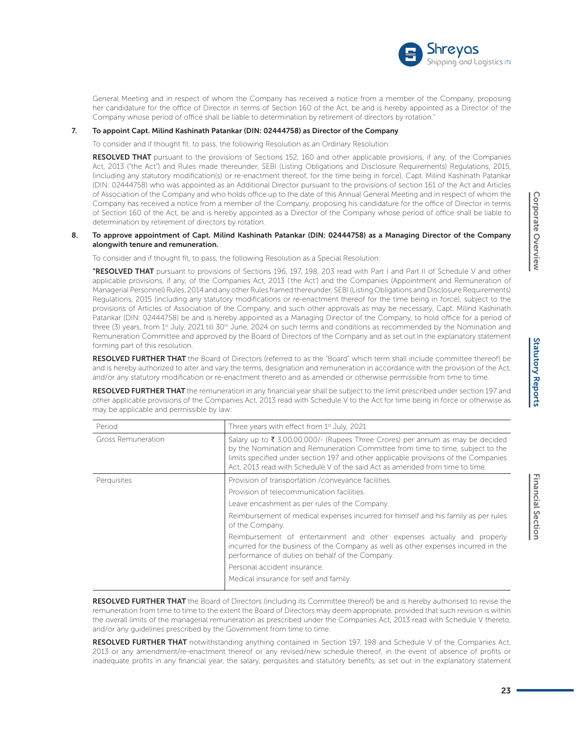

General Meeting and in respect of whom the Company has received a notice from a member of the Company, proposing her candidature for the office of Director in terms of Section 160 of the Act, be and is hereby appointed as a Director of the Company whose period of office shall be liable to determination by retirement of directors by rotation."

#### 7. To appoint Capt. Milind Kashinath Patankar (DIN: 02444758) as Director of the Company

To consider and if thought fit, to pass, the following Resolution as an Ordinary Resolution:

RESOLVED THAT pursuant to the provisions of Sections 152, 160 and other applicable provisions, if any, of the Companies Act, 2013 ("the Act") and Rules made thereunder, SEBI (Listing Obligations and Disclosure Requirements) Regulations, 2015, (including any statutory modification(s) or re-enactment thereof, for the time being in force), Capt. Milind Kashinath Patankar (DIN: 02444758) who was appointed as an Additional Director pursuant to the provisions of section 161 of the Act and Articles of Association of the Company and who holds office up to the date of this Annual General Meeting and in respect of whom the Company has received a notice from a member of the Company, proposing his candidature for the office of Director in terms of Section 160 of the Act, be and is hereby appointed as a Director of the Company whose period of office shall be liable to determination by retirement of directors by rotation.

#### 8. To approve appointment of Capt. Milind Kashinath Patankar (DIN: 02444758) as a Managing Director of the Company alongwith tenure and remuneration.

To consider and if thought fit, to pass, the following Resolution as a Special Resolution:

"RESOLVED THAT pursuant to provisions of Sections 196, 197, 198, 203 read with Part I and Part II of Schedule V and other applicable provisions, if any, of the Companies Act, 2013 ('the Act') and the Companies (Appointment and Remuneration of Managerial Personnel) Rules, 2014 and any other Rules framed thereunder, SEBI (Listing Obligations and Disclosure Requirements) Regulations, 2015 (including any statutory modifications or re-enactment thereof for the time being in force), subject to the provisions of Articles of Association of the Company, and such other approvals as may be necessary, Capt. Milind Kashinath Patankar (DIN: 02444758) be and is hereby appointed as a Managing Director of the Company, to hold office for a period of three (3) years, from 1<sup>st</sup> July, 2021 till 30<sup>th</sup> June, 2024 on such terms and conditions as recommended by the Nomination and Remuneration Committee and approved by the Board of Directors of the Company and as set out in the explanatory statement forming part of this resolution.

RESOLVED FURTHER THAT the Board of Directors (referred to as the "Board" which term shall include committee thereof) be and is hereby authorized to alter and vary the terms, designation and remuneration in accordance with the provision of the Act, and/or any statutory modification or re-enactment thereto and as amended or otherwise permissible from time to time.

RESOLVED FURTHER THAT the remuneration in any financial year shall be subject to the limit prescribed under section 197 and other applicable provisions of the Companies Act, 2013 read with Schedule V to the Act for time being in force or otherwise as may be applicable and permissible by law:

| Period             | Three years with effect from 1 <sup>st</sup> July, 2021                                                                                                                                                                                                                                                                                 |  |  |
|--------------------|-----------------------------------------------------------------------------------------------------------------------------------------------------------------------------------------------------------------------------------------------------------------------------------------------------------------------------------------|--|--|
| Gross Remuneration | Salary up to ₹ 3,00,00,000/- (Rupees Three Crores) per annum as may be decided<br>by the Nomination and Remuneration Committee from time to time, subject to the<br>limits specified under section 197 and other applicable provisions of the Companies<br>Act. 2013 read with Schedule V of the said Act as amended from time to time. |  |  |
| Perquisites        | Provision of transportation / conveyance facilities.                                                                                                                                                                                                                                                                                    |  |  |
|                    | Provision of telecommunication facilities.                                                                                                                                                                                                                                                                                              |  |  |
|                    | Leave encashment as per rules of the Company.                                                                                                                                                                                                                                                                                           |  |  |
|                    | Reimbursement of medical expenses incurred for himself and his family as per rules<br>of the Company.                                                                                                                                                                                                                                   |  |  |
|                    | Reimbursement of entertainment and other expenses actually and properly<br>incurred for the business of the Company as well as other expenses incurred in the<br>performance of duties on behalf of the Company.                                                                                                                        |  |  |
|                    | Personal accident insurance.                                                                                                                                                                                                                                                                                                            |  |  |
|                    | Medical insurance for self and family.                                                                                                                                                                                                                                                                                                  |  |  |

RESOLVED FURTHER THAT the Board of Directors (including its Committee thereof) be and is hereby authorised to revise the remuneration from time to time to the extent the Board of Directors may deem appropriate, provided that such revision is within the overall limits of the managerial remuneration as prescribed under the Companies Act, 2013 read with Schedule V thereto, and/or any guidelines prescribed by the Government from time to time.

RESOLVED FURTHER THAT notwithstanding anything contained in Section 197, 198 and Schedule V of the Companies Act, 2013 or any amendment/re-enactment thereof or any revised/new schedule thereof, in the event of absence of profits or inadequate profits in any financial year, the salary, perquisites and statutory benefits, as set out in the explanatory statement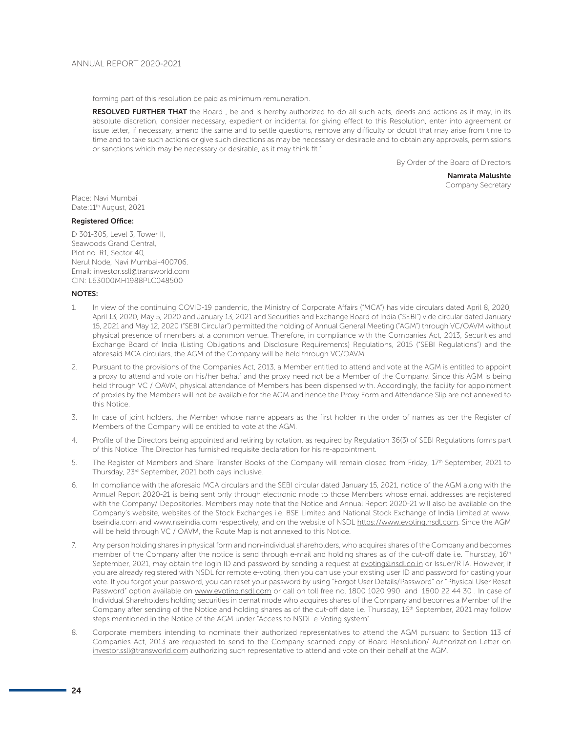forming part of this resolution be paid as minimum remuneration.

RESOLVED FURTHER THAT the Board, be and is hereby authorized to do all such acts, deeds and actions as it may, in its absolute discretion, consider necessary, expedient or incidental for giving effect to this Resolution, enter into agreement or issue letter, if necessary, amend the same and to settle questions, remove any difficulty or doubt that may arise from time to time and to take such actions or give such directions as may be necessary or desirable and to obtain any approvals, permissions or sanctions which may be necessary or desirable, as it may think fit."

By Order of the Board of Directors

Namrata Malushte Company Secretary

Place: Navi Mumbai Date: 11<sup>th</sup> August, 2021

## Registered Office:

D 301-305, Level 3, Tower II, Seawoods Grand Central, Plot no. R1, Sector 40, Nerul Node, Navi Mumbai-400706. Email: investor.ssll@transworld.com CIN: L63000MH1988PLC048500

## NOTES:

- 1. In view of the continuing COVID-19 pandemic, the Ministry of Corporate Affairs ("MCA") has vide circulars dated April 8, 2020, April 13, 2020, May 5, 2020 and January 13, 2021 and Securities and Exchange Board of India ("SEBI") vide circular dated January 15, 2021 and May 12, 2020 ("SEBI Circular") permitted the holding of Annual General Meeting ("AGM") through VC/OAVM without physical presence of members at a common venue. Therefore, in compliance with the Companies Act, 2013, Securities and Exchange Board of India (Listing Obligations and Disclosure Requirements) Regulations, 2015 ("SEBI Regulations") and the aforesaid MCA circulars, the AGM of the Company will be held through VC/OAVM.
- 2. Pursuant to the provisions of the Companies Act, 2013, a Member entitled to attend and vote at the AGM is entitled to appoint a proxy to attend and vote on his/her behalf and the proxy need not be a Member of the Company. Since this AGM is being held through VC / OAVM, physical attendance of Members has been dispensed with. Accordingly, the facility for appointment of proxies by the Members will not be available for the AGM and hence the Proxy Form and Attendance Slip are not annexed to this Notice.
- 3. In case of joint holders, the Member whose name appears as the first holder in the order of names as per the Register of Members of the Company will be entitled to vote at the AGM.
- 4. Profile of the Directors being appointed and retiring by rotation, as required by Regulation 36(3) of SEBI Regulations forms part of this Notice. The Director has furnished requisite declaration for his re-appointment.
- 5. The Register of Members and Share Transfer Books of the Company will remain closed from Friday, 17<sup>th</sup> September, 2021 to Thursday, 23rd September, 2021 both days inclusive.
- 6. In compliance with the aforesaid MCA circulars and the SEBI circular dated January 15, 2021, notice of the AGM along with the Annual Report 2020-21 is being sent only through electronic mode to those Members whose email addresses are registered with the Company/ Depositories. Members may note that the Notice and Annual Report 2020-21 will also be available on the Company's website, websites of the Stock Exchanges i.e. BSE Limited and National Stock Exchange of India Limited at www. bseindia.com and www.nseindia.com respectively, and on the website of NSDL https://www.evoting.nsdl.com. Since the AGM will be held through VC / OAVM, the Route Map is not annexed to this Notice.
- 7. Any person holding shares in physical form and non-individual shareholders, who acquires shares of the Company and becomes member of the Company after the notice is send through e-mail and holding shares as of the cut-off date i.e. Thursday, 16<sup>th</sup> September, 2021, may obtain the login ID and password by sending a request at evoting@nsdl.co.in or Issuer/RTA. However, if you are already registered with NSDL for remote e-voting, then you can use your existing user ID and password for casting your vote. If you forgot your password, you can reset your password by using "Forgot User Details/Password" or "Physical User Reset Password" option available on www.evoting.nsdl.com or call on toll free no. 1800 1020 990 and 1800 22 44 30. In case of Individual Shareholders holding securities in demat mode who acquires shares of the Company and becomes a Member of the Company after sending of the Notice and holding shares as of the cut-off date i.e. Thursday, 16<sup>th</sup> September, 2021 may follow steps mentioned in the Notice of the AGM under "Access to NSDL e-Voting system".
- 8. Corporate members intending to nominate their authorized representatives to attend the AGM pursuant to Section 113 of Companies Act, 2013 are requested to send to the Company scanned copy of Board Resolution/ Authorization Letter on investor.ssll@transworld.com authorizing such representative to attend and vote on their behalf at the AGM.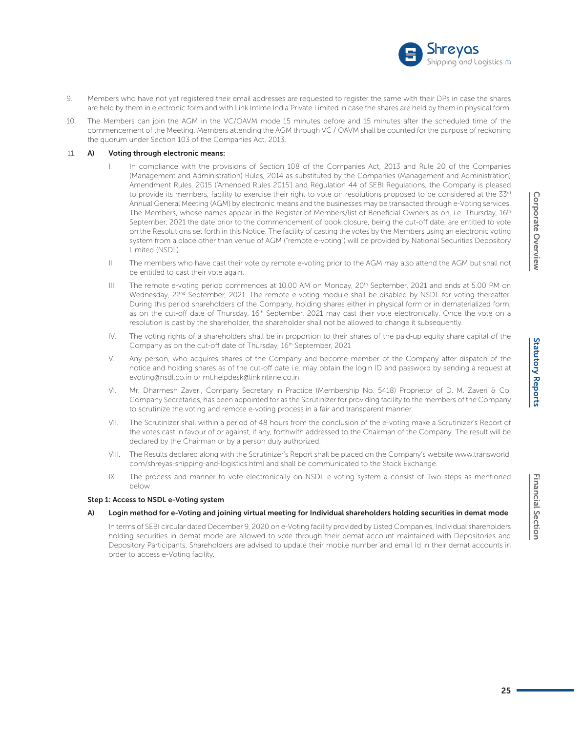- 9. Members who have not yet registered their email addresses are requested to register the same with their DPs in case the shares are held by them in electronic form and with Link Intime India Private Limited in case the shares are held by them in physical form.
- 10. The Members can join the AGM in the VC/OAVM mode 15 minutes before and 15 minutes after the scheduled time of the commencement of the Meeting. Members attending the AGM through VC / OAVM shall be counted for the purpose of reckoning the quorum under Section 103 of the Companies Act, 2013.

#### 11. A) Voting through electronic means:

- I. In compliance with the provisions of Section 108 of the Companies Act, 2013 and Rule 20 of the Companies (Management and Administration) Rules, 2014 as substituted by the Companies (Management and Administration) Amendment Rules, 2015 ('Amended Rules 2015') and Regulation 44 of SEBI Regulations, the Company is pleased to provide its members, facility to exercise their right to vote on resolutions proposed to be considered at the 33rd Annual General Meeting (AGM) by electronic means and the businesses may be transacted through e-Voting services. The Members, whose names appear in the Register of Members/list of Beneficial Owners as on, i.e. Thursday, 16<sup>th</sup> September, 2021 the date prior to the commencement of book closure, being the cut-off date, are entitled to vote on the Resolutions set forth in this Notice. The facility of casting the votes by the Members using an electronic voting system from a place other than venue of AGM ("remote e-voting") will be provided by National Securities Depository Limited (NSDL).
- II. The members who have cast their vote by remote e-voting prior to the AGM may also attend the AGM but shall not be entitled to cast their vote again.
- III. The remote e-voting period commences at 10.00 AM on Monday, 20<sup>th</sup> September, 2021 and ends at 5.00 PM on Wednesday, 22<sup>nd</sup> September, 2021. The remote e-voting module shall be disabled by NSDL for voting thereafter. During this period shareholders of the Company, holding shares either in physical form or in dematerialized form, as on the cut-off date of Thursday, 16<sup>th</sup> September, 2021 may cast their vote electronically. Once the vote on a resolution is cast by the shareholder, the shareholder shall not be allowed to change it subsequently.
- IV. The voting rights of a shareholders shall be in proportion to their shares of the paid-up equity share capital of the Company as on the cut-off date of Thursday, 16<sup>th</sup> September, 2021
- V. Any person, who acquires shares of the Company and become member of the Company after dispatch of the notice and holding shares as of the cut-off date i.e. may obtain the login ID and password by sending a request at evoting@nsdl.co.in or rnt.helpdesk@linkintime.co.in.
- VI. Mr. Dharmesh Zaveri, Company Secretary in Practice (Membership No. 5418) Proprietor of D. M. Zaveri & Co, Company Secretaries, has been appointed for as the Scrutinizer for providing facility to the members of the Company to scrutinize the voting and remote e-voting process in a fair and transparent manner.
- VII. The Scrutinizer shall within a period of 48 hours from the conclusion of the e-voting make a Scrutinizer's Report of the votes cast in favour of or against, if any, forthwith addressed to the Chairman of the Company. The result will be declared by the Chairman or by a person duly authorized.
- VIII. The Results declared along with the Scrutinizer's Report shall be placed on the Company's website www.transworld. com/shreyas-shipping-and-logistics.html and shall be communicated to the Stock Exchange.
- IX. The process and manner to vote electronically on NSDL e-voting system a consist of Two steps as mentioned below:

#### Step 1: Access to NSDL e-Voting system

#### A) Login method for e-Voting and joining virtual meeting for Individual shareholders holding securities in demat mode

In terms of SEBI circular dated December 9, 2020 on e-Voting facility provided by Listed Companies, Individual shareholders holding securities in demat mode are allowed to vote through their demat account maintained with Depositories and Depository Participants. Shareholders are advised to update their mobile number and email Id in their demat accounts in order to access e-Voting facility.

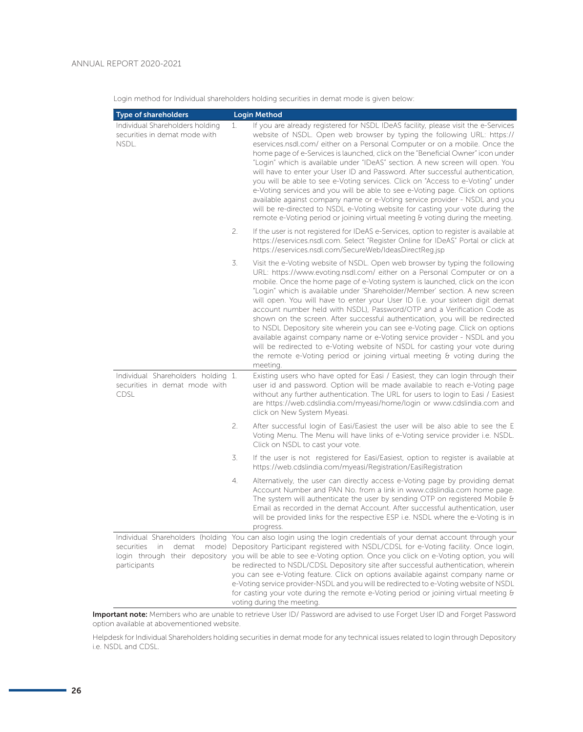Login method for Individual shareholders holding securities in demat mode is given below:

| <b>Type of shareholders</b>                                                        |    | <b>Login Method</b>                                                                                                                                                                                                                                                                                                                                                                                                                                                                                                                                                                                                                                                                                                                                                                                                                                                                                                   |
|------------------------------------------------------------------------------------|----|-----------------------------------------------------------------------------------------------------------------------------------------------------------------------------------------------------------------------------------------------------------------------------------------------------------------------------------------------------------------------------------------------------------------------------------------------------------------------------------------------------------------------------------------------------------------------------------------------------------------------------------------------------------------------------------------------------------------------------------------------------------------------------------------------------------------------------------------------------------------------------------------------------------------------|
| Individual Shareholders holding<br>securities in demat mode with<br>NSDL.          | 1. | If you are already registered for NSDL IDeAS facility, please visit the e-Services<br>website of NSDL. Open web browser by typing the following URL: https://<br>eservices.nsdl.com/ either on a Personal Computer or on a mobile. Once the<br>home page of e-Services is launched, click on the "Beneficial Owner" icon under<br>"Login" which is available under "IDeAS" section. A new screen will open. You<br>will have to enter your User ID and Password. After successful authentication,<br>you will be able to see e-Voting services. Click on "Access to e-Voting" under<br>e-Voting services and you will be able to see e-Voting page. Click on options<br>available against company name or e-Voting service provider - NSDL and you<br>will be re-directed to NSDL e-Voting website for casting your vote during the<br>remote e-Voting period or joining virtual meeting & voting during the meeting. |
|                                                                                    | 2. | If the user is not registered for IDeAS e-Services, option to register is available at<br>https://eservices.nsdl.com. Select "Register Online for IDeAS" Portal or click at<br>https://eservices.nsdl.com/SecureWeb/IdeasDirectReg.jsp                                                                                                                                                                                                                                                                                                                                                                                                                                                                                                                                                                                                                                                                                |
|                                                                                    | 3. | Visit the e-Voting website of NSDL. Open web browser by typing the following<br>URL: https://www.evoting.nsdl.com/ either on a Personal Computer or on a<br>mobile. Once the home page of e-Voting system is launched, click on the icon<br>"Login" which is available under 'Shareholder/Member' section. A new screen<br>will open. You will have to enter your User ID (i.e. your sixteen digit demat<br>account number held with NSDL), Password/OTP and a Verification Code as<br>shown on the screen. After successful authentication, you will be redirected<br>to NSDL Depository site wherein you can see e-Voting page. Click on options<br>available against company name or e-Voting service provider - NSDL and you<br>will be redirected to e-Voting website of NSDL for casting your vote during<br>the remote e-Voting period or joining virtual meeting & voting during the<br>meeting.              |
| Individual Shareholders holding 1.<br>securities in demat mode with<br><b>CDSL</b> |    | Existing users who have opted for Easi / Easiest, they can login through their<br>user id and password. Option will be made available to reach e-Voting page<br>without any further authentication. The URL for users to login to Easi / Easiest<br>are https://web.cdslindia.com/myeasi/home/login or www.cdslindia.com and<br>click on New System Myeasi.                                                                                                                                                                                                                                                                                                                                                                                                                                                                                                                                                           |
|                                                                                    | 2. | After successful login of Easi/Easiest the user will be also able to see the E<br>Voting Menu. The Menu will have links of e-Voting service provider i.e. NSDL.<br>Click on NSDL to cast your vote.                                                                                                                                                                                                                                                                                                                                                                                                                                                                                                                                                                                                                                                                                                                   |
|                                                                                    | 3. | If the user is not registered for Easi/Easiest, option to register is available at<br>https://web.cdslindia.com/myeasi/Registration/EasiRegistration                                                                                                                                                                                                                                                                                                                                                                                                                                                                                                                                                                                                                                                                                                                                                                  |
|                                                                                    | 4. | Alternatively, the user can directly access e-Voting page by providing demat<br>Account Number and PAN No. from a link in www.cdslindia.com home page.<br>The system will authenticate the user by sending OTP on registered Mobile $\theta$<br>Email as recorded in the demat Account. After successful authentication, user<br>will be provided links for the respective ESP i.e. NSDL where the e-Voting is in<br>progress.                                                                                                                                                                                                                                                                                                                                                                                                                                                                                        |
| securities<br>in<br>demat<br>login through their depository<br>participants        |    | Individual Shareholders (holding You can also login using the login credentials of your demat account through your<br>mode) Depository Participant registered with NSDL/CDSL for e-Voting facility. Once login,<br>you will be able to see e-Voting option. Once you click on e-Voting option, you will<br>be redirected to NSDL/CDSL Depository site after successful authentication, wherein<br>you can see e-Voting feature. Click on options available against company name or<br>e-Voting service provider-NSDL and you will be redirected to e-Voting website of NSDL<br>for casting your vote during the remote e-Voting period or joining virtual meeting $\theta$<br>voting during the meeting.                                                                                                                                                                                                              |

Important note: Members who are unable to retrieve User ID/ Password are advised to use Forget User ID and Forget Password option available at abovementioned website.

 Helpdesk for Individual Shareholders holding securities in demat mode for any technical issues related to login through Depository i.e. NSDL and CDSL.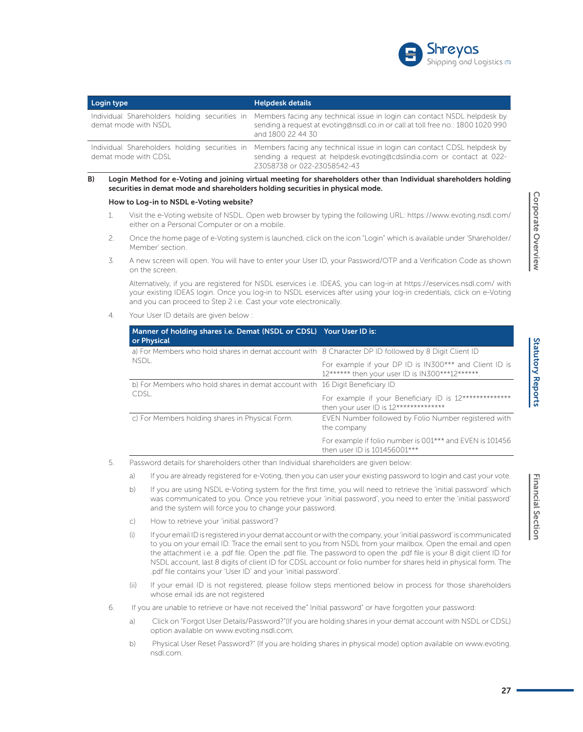

| Login type                                                            | <b>Helpdesk details</b>                                                                                                                                                           |  |  |
|-----------------------------------------------------------------------|-----------------------------------------------------------------------------------------------------------------------------------------------------------------------------------|--|--|
| Individual Shareholders holding securities in<br>demat mode with NSDL | Members facing any technical issue in login can contact NSDL helpdesk by<br>sending a request at evoting@nsdl.co.in or call at toll free no.: 1800 1020 990<br>and 1800 22 44 30  |  |  |
| Individual Shareholders holding securities in<br>demat mode with CDSL | Members facing any technical issue in login can contact CDSL helpdesk by<br>sending a request at helpdesk.evoting@cdslindia.com or contact at 022-<br>23058738 or 022-23058542-43 |  |  |

#### B) Login Method for e-Voting and joining virtual meeting for shareholders other than Individual shareholders holding securities in demat mode and shareholders holding securities in physical mode.

#### How to Log-in to NSDL e-Voting website?

- 1. Visit the e-Voting website of NSDL. Open web browser by typing the following URL: https://www.evoting.nsdl.com/ either on a Personal Computer or on a mobile.
- 2. Once the home page of e-Voting system is launched, click on the icon "Login" which is available under 'Shareholder/ Member' section.
- 3. A new screen will open. You will have to enter your User ID, your Password/OTP and a Verification Code as shown on the screen.

 Alternatively, if you are registered for NSDL eservices i.e. IDEAS, you can log-in at https://eservices.nsdl.com/ with your existing IDEAS login. Once you log-in to NSDL eservices after using your log-in credentials, click on e-Voting and you can proceed to Step 2 i.e. Cast your vote electronically.

4. Your User ID details are given below :

| Manner of holding shares i.e. Demat (NSDL or CDSL) Your User ID is:<br>or Physical                   |                                                                                                           |  |  |
|------------------------------------------------------------------------------------------------------|-----------------------------------------------------------------------------------------------------------|--|--|
| a) For Members who hold shares in demat account with 8 Character DP ID followed by 8 Digit Client ID |                                                                                                           |  |  |
| NSDL.                                                                                                | For example if your DP ID is IN300*** and Client ID is<br>12****** then your user ID is IN300***12******. |  |  |
| b) For Members who hold shares in demat account with 16 Digit Beneficiary ID                         |                                                                                                           |  |  |
| CDSL.                                                                                                | For example if your Beneficiary ID is 12**************<br>then your user ID is 12**************           |  |  |
| c) For Members holding shares in Physical Form.                                                      | EVEN Number followed by Folio Number registered with<br>the company                                       |  |  |
|                                                                                                      | For example if folio number is 001*** and EVEN is 101456<br>then user ID is 101456001***                  |  |  |

5. Password details for shareholders other than Individual shareholders are given below:

a) If you are already registered for e-Voting, then you can user your existing password to login and cast your vote.

- b) If you are using NSDL e-Voting system for the first time, you will need to retrieve the 'initial password' which was communicated to you. Once you retrieve your 'initial password', you need to enter the 'initial password' and the system will force you to change your password.
- c) How to retrieve your 'initial password'?
- (i) If your email ID is registered in your demat account or with the company, your 'initial password' is communicated to you on your email ID. Trace the email sent to you from NSDL from your mailbox. Open the email and open the attachment i.e. a .pdf file. Open the .pdf file. The password to open the .pdf file is your 8 digit client ID for NSDL account, last 8 digits of client ID for CDSL account or folio number for shares held in physical form. The .pdf file contains your 'User ID' and your 'initial password'.
- (ii) If your email ID is not registered, please follow steps mentioned below in process for those shareholders whose email ids are not registered
- 6. If you are unable to retrieve or have not received the" Initial password" or have forgotten your password:
	- a) Click on "Forgot User Details/Password?"(If you are holding shares in your demat account with NSDL or CDSL) option available on www.evoting.nsdl.com.
	- b) Physical User Reset Password?" (If you are holding shares in physical mode) option available on www.evoting. nsdl.com.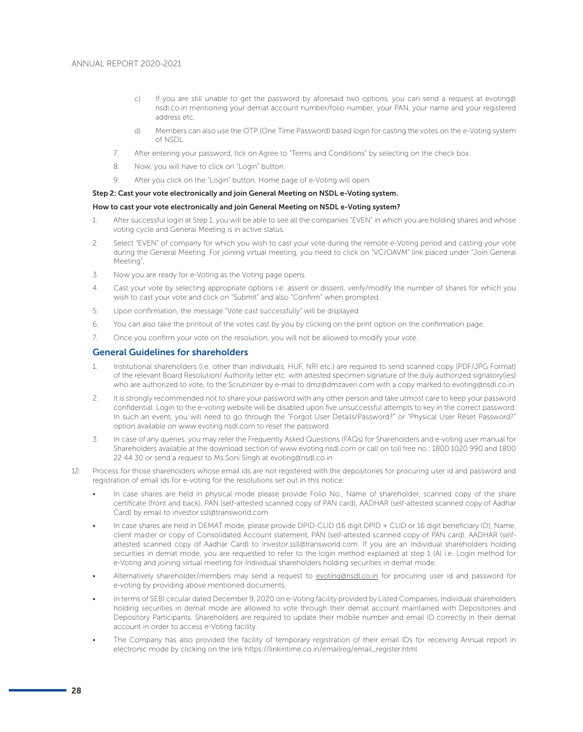- c) If you are still unable to get the password by aforesaid two options, you can send a request at evoting@ nsdl.co.in mentioning your demat account number/folio number, your PAN, your name and your registered address etc.
- d) Members can also use the OTP (One Time Password) based login for casting the votes on the e-Voting system of NSDL.
- 7. After entering your password, tick on Agree to "Terms and Conditions" by selecting on the check box.
- 8. Now, you will have to click on "Login" button.
- 9. After you click on the "Login" button, Home page of e-Voting will open.

# Step 2: Cast your vote electronically and join General Meeting on NSDL e-Voting system.

#### How to cast your vote electronically and join General Meeting on NSDL e-Voting system?

- 1. After successful login at Step 1, you will be able to see all the companies "EVEN" in which you are holding shares and whose voting cycle and General Meeting is in active status.
- 2. Select "EVEN" of company for which you wish to cast your vote during the remote e-Voting period and casting your vote during the General Meeting. For joining virtual meeting, you need to click on "VC/OAVM" link placed under "Join General Meeting".
- 3. Now you are ready for e-Voting as the Voting page opens.
- 4. Cast your vote by selecting appropriate options i.e. assent or dissent, verify/modify the number of shares for which you wish to cast your vote and click on "Submit" and also "Confirm" when prompted.
- 5. Upon confirmation, the message "Vote cast successfully" will be displayed.
- 6. You can also take the printout of the votes cast by you by clicking on the print option on the confirmation page.
- 7. Once you confirm your vote on the resolution, you will not be allowed to modify your vote.

# General Guidelines for shareholders

- 1. Institutional shareholders (i.e. other than individuals, HUF, NRI etc.) are required to send scanned copy (PDF/JPG Format) of the relevant Board Resolution/ Authority letter etc. with attested specimen signature of the duly authorized signatory(ies) who are authorized to vote, to the Scrutinizer by e-mail to dmz@dmzaveri.com with a copy marked to evoting@nsdl.co.in.
- 2. It is strongly recommended not to share your password with any other person and take utmost care to keep your password confidential. Login to the e-voting website will be disabled upon five unsuccessful attempts to key in the correct password. In such an event, you will need to go through the "Forgot User Details/Password?" or "Physical User Reset Password?" option available on www.evoting.nsdl.com to reset the password.
- 3. In case of any queries, you may refer the Frequently Asked Questions (FAQs) for Shareholders and e-voting user manual for Shareholders available at the download section of www.evoting.nsdl.com or call on toll free no.: 1800 1020 990 and 1800 22 44 30 or send a request to Ms.Soni Singh at evoting@nsdl.co.in
- 12. Process for those shareholders whose email ids are not registered with the depositories for procuring user id and password and registration of email ids for e-voting for the resolutions set out in this notice:
	- In case shares are held in physical mode please provide Folio No., Name of shareholder, scanned copy of the share certificate (front and back), PAN (self-attested scanned copy of PAN card), AADHAR (self-attested scanned copy of Aadhar Card) by email to investor.ssll@transworld.com
	- In case shares are held in DEMAT mode, please provide DPID-CLID (16 digit DPID + CLID or 16 digit beneficiary ID), Name, client master or copy of Consolidated Account statement, PAN (self-attested scanned copy of PAN card), AADHAR (selfattested scanned copy of Aadhar Card) to investor.ssll@transworld.com. If you are an Individual shareholders holding securities in demat mode, you are requested to refer to the login method explained at step 1 (A) i.e. Login method for e-Voting and joining virtual meeting for Individual shareholders holding securities in demat mode.
	- Alternatively shareholder/members may send a request to evoting@nsdl.co.in for procuring user id and password for e-voting by providing above mentioned documents.
	- In terms of SEBI circular dated December 9, 2020 on e-Voting facility provided by Listed Companies, Individual shareholders holding securities in demat mode are allowed to vote through their demat account maintained with Depositories and Depository Participants. Shareholders are required to update their mobile number and email ID correctly in their demat account in order to access e-Voting facility.
	- The Company has also provided the facility of temporary registration of their email IDs for receiving Annual report in electronic mode by clicking on the link https://linkintime.co.in/emailreg/email\_register.html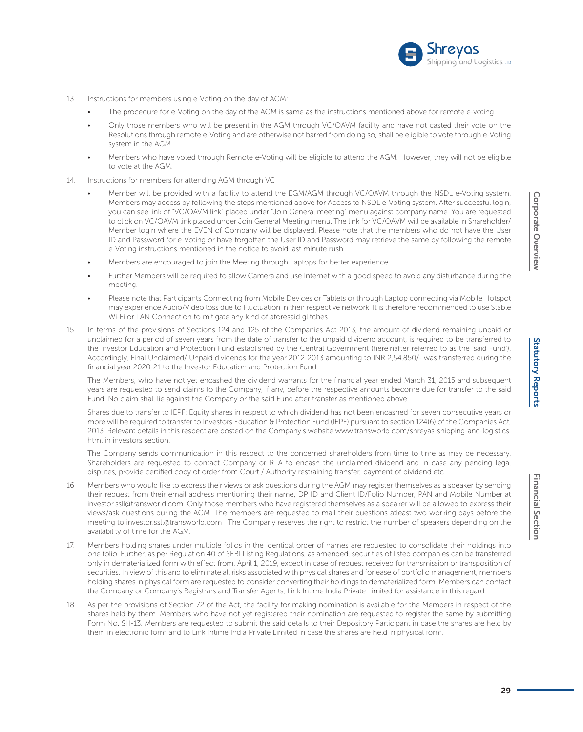

- 13. Instructions for members using e-Voting on the day of AGM:
	- The procedure for e-Voting on the day of the AGM is same as the instructions mentioned above for remote e-voting.
	- Only those members who will be present in the AGM through VC/OAVM facility and have not casted their vote on the Resolutions through remote e-Voting and are otherwise not barred from doing so, shall be eligible to vote through e-Voting system in the AGM.
	- Members who have voted through Remote e-Voting will be eligible to attend the AGM. However, they will not be eligible to vote at the AGM.
- 14. Instructions for members for attending AGM through VC
	- Member will be provided with a facility to attend the EGM/AGM through VC/OAVM through the NSDL e-Voting system. Members may access by following the steps mentioned above for Access to NSDL e-Voting system. After successful login, you can see link of "VC/OAVM link" placed under "Join General meeting" menu against company name. You are requested to click on VC/OAVM link placed under Join General Meeting menu. The link for VC/OAVM will be available in Shareholder/ Member login where the EVEN of Company will be displayed. Please note that the members who do not have the User ID and Password for e-Voting or have forgotten the User ID and Password may retrieve the same by following the remote e-Voting instructions mentioned in the notice to avoid last minute rush
	- Members are encouraged to join the Meeting through Laptops for better experience.
	- Further Members will be required to allow Camera and use Internet with a good speed to avoid any disturbance during the meeting.
	- Please note that Participants Connecting from Mobile Devices or Tablets or through Laptop connecting via Mobile Hotspot may experience Audio/Video loss due to Fluctuation in their respective network. It is therefore recommended to use Stable Wi-Fi or LAN Connection to mitigate any kind of aforesaid glitches.
- 15. In terms of the provisions of Sections 124 and 125 of the Companies Act 2013, the amount of dividend remaining unpaid or unclaimed for a period of seven years from the date of transfer to the unpaid dividend account, is required to be transferred to the Investor Education and Protection Fund established by the Central Government (hereinafter referred to as the 'said Fund'). Accordingly, Final Unclaimed/ Unpaid dividends for the year 2012-2013 amounting to INR 2,54,850/- was transferred during the financial year 2020-21 to the Investor Education and Protection Fund.

 The Members, who have not yet encashed the dividend warrants for the financial year ended March 31, 2015 and subsequent years are requested to send claims to the Company, if any, before the respective amounts become due for transfer to the said Fund. No claim shall lie against the Company or the said Fund after transfer as mentioned above.

 Shares due to transfer to IEPF: Equity shares in respect to which dividend has not been encashed for seven consecutive years or more will be required to transfer to Investors Education & Protection Fund (IEPF) pursuant to section 124(6) of the Companies Act, 2013. Relevant details in this respect are posted on the Company's website www.transworld.com/shreyas-shipping-and-logistics. html in investors section.

 The Company sends communication in this respect to the concerned shareholders from time to time as may be necessary. Shareholders are requested to contact Company or RTA to encash the unclaimed dividend and in case any pending legal disputes, provide certified copy of order from Court / Authority restraining transfer, payment of dividend etc.

- 16. Members who would like to express their views or ask questions during the AGM may register themselves as a speaker by sending their request from their email address mentioning their name, DP ID and Client ID/Folio Number, PAN and Mobile Number at investor.ssll@transworld.com. Only those members who have registered themselves as a speaker will be allowed to express their views/ask questions during the AGM. The members are requested to mail their questions atleast two working days before the meeting to investor.ssll@transworld.com . The Company reserves the right to restrict the number of speakers depending on the availability of time for the AGM.
- 17. Members holding shares under multiple folios in the identical order of names are requested to consolidate their holdings into one folio. Further, as per Regulation 40 of SEBI Listing Regulations, as amended, securities of listed companies can be transferred only in dematerialized form with effect from, April 1, 2019, except in case of request received for transmission or transposition of securities. In view of this and to eliminate all risks associated with physical shares and for ease of portfolio management, members holding shares in physical form are requested to consider converting their holdings to dematerialized form. Members can contact the Company or Company's Registrars and Transfer Agents, Link Intime India Private Limited for assistance in this regard.
- 18. As per the provisions of Section 72 of the Act, the facility for making nomination is available for the Members in respect of the shares held by them. Members who have not yet registered their nomination are requested to register the same by submitting Form No. SH-13. Members are requested to submit the said details to their Depository Participant in case the shares are held by them in electronic form and to Link Intime India Private Limited in case the shares are held in physical form.

Corporate Overview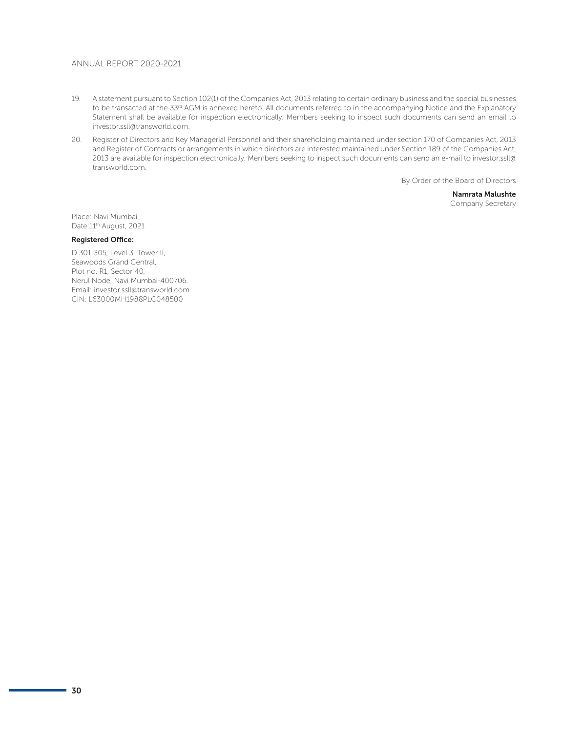- 19. A statement pursuant to Section 102(1) of the Companies Act, 2013 relating to certain ordinary business and the special businesses to be transacted at the 33<sup>rd</sup> AGM is annexed hereto. All documents referred to in the accompanying Notice and the Explanatory Statement shall be available for inspection electronically. Members seeking to inspect such documents can send an email to investor.ssll@transworld.com.
- 20. Register of Directors and Key Managerial Personnel and their shareholding maintained under section 170 of Companies Act, 2013 and Register of Contracts or arrangements in which directors are interested maintained under Section 189 of the Companies Act, 2013 are available for inspection electronically. Members seeking to inspect such documents can send an e-mail to investor.ssll@ transworld.com.

By Order of the Board of Directors

Namrata Malushte Company Secretary

Place: Navi Mumbai Date: 11<sup>th</sup> August, 2021

# Registered Office:

D 301-305, Level 3, Tower II, Seawoods Grand Central, Plot no. R1, Sector 40, Nerul Node, Navi Mumbai-400706. Email: investor.ssll@transworld.com CIN: L63000MH1988PLC048500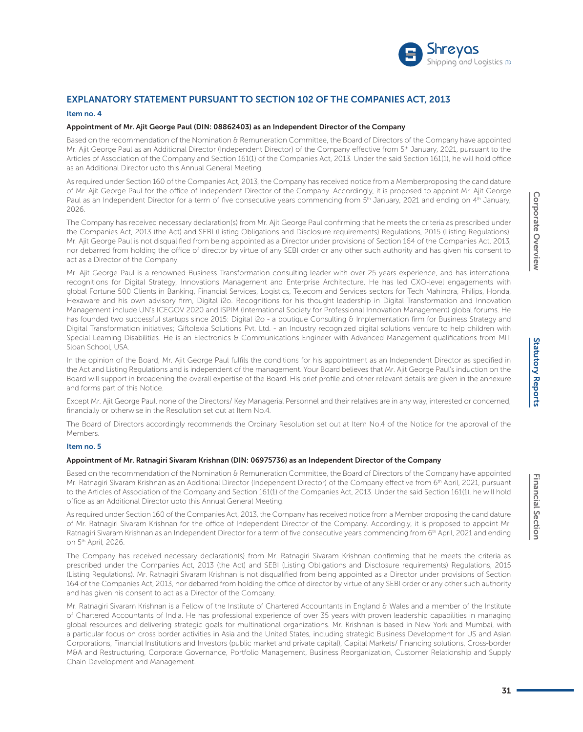

# EXPLANATORY STATEMENT PURSUANT TO SECTION 102 OF THE COMPANIES ACT, 2013

#### Item no. 4

# Appointment of Mr. Ajit George Paul (DIN: 08862403) as an Independent Director of the Company

Based on the recommendation of the Nomination & Remuneration Committee, the Board of Directors of the Company have appointed Mr. Ajit George Paul as an Additional Director (Independent Director) of the Company effective from 5<sup>th</sup> January, 2021, pursuant to the Articles of Association of the Company and Section 161(1) of the Companies Act, 2013. Under the said Section 161(1), he will hold office as an Additional Director upto this Annual General Meeting.

As required under Section 160 of the Companies Act, 2013, the Company has received notice from a Memberproposing the candidature of Mr. Ajit George Paul for the office of Independent Director of the Company. Accordingly, it is proposed to appoint Mr. Ajit George Paul as an Independent Director for a term of five consecutive years commencing from  $5<sup>th</sup>$  January, 2021 and ending on  $4<sup>th</sup>$  January, 2026.

The Company has received necessary declaration(s) from Mr. Ajit George Paul confirming that he meets the criteria as prescribed under the Companies Act, 2013 (the Act) and SEBI (Listing Obligations and Disclosure requirements) Regulations, 2015 (Listing Regulations). Mr. Ajit George Paul is not disqualified from being appointed as a Director under provisions of Section 164 of the Companies Act, 2013, nor debarred from holding the office of director by virtue of any SEBI order or any other such authority and has given his consent to act as a Director of the Company.

Mr. Ajit George Paul is a renowned Business Transformation consulting leader with over 25 years experience, and has international recognitions for Digital Strategy, Innovations Management and Enterprise Architecture. He has led CXO-level engagements with global Fortune 500 Clients in Banking, Financial Services, Logistics, Telecom and Services sectors for Tech Mahindra, Philips, Honda, Hexaware and his own advisory firm, Digital i2o. Recognitions for his thought leadership in Digital Transformation and Innovation Management include UN's ICEGOV 2020 and ISPIM (International Society for Professional Innovation Management) global forums. He has founded two successful startups since 2015: Digital i2o - a boutique Consulting & Implementation firm for Business Strategy and Digital Transformation initiatives; Giftolexia Solutions Pvt. Ltd. - an Industry recognized digital solutions venture to help children with Special Learning Disabilities. He is an Electronics & Communications Engineer with Advanced Management qualifications from MIT Sloan School, USA.

In the opinion of the Board, Mr. Ajit George Paul fulfils the conditions for his appointment as an Independent Director as specified in the Act and Listing Regulations and is independent of the management. Your Board believes that Mr. Ajit George Paul's induction on the Board will support in broadening the overall expertise of the Board. His brief profile and other relevant details are given in the annexure and forms part of this Notice.

Except Mr. Ajit George Paul, none of the Directors/ Key Managerial Personnel and their relatives are in any way, interested or concerned, financially or otherwise in the Resolution set out at Item No.4.

The Board of Directors accordingly recommends the Ordinary Resolution set out at Item No.4 of the Notice for the approval of the Members.

#### Item no. 5

#### Appointment of Mr. Ratnagiri Sivaram Krishnan (DIN: 06975736) as an Independent Director of the Company

Based on the recommendation of the Nomination & Remuneration Committee, the Board of Directors of the Company have appointed Mr. Ratnagiri Sivaram Krishnan as an Additional Director (Independent Director) of the Company effective from 6<sup>th</sup> April, 2021, pursuant to the Articles of Association of the Company and Section 161(1) of the Companies Act, 2013. Under the said Section 161(1), he will hold office as an Additional Director upto this Annual General Meeting.

As required under Section 160 of the Companies Act, 2013, the Company has received notice from a Member proposing the candidature of Mr. Ratnagiri Sivaram Krishnan for the office of Independent Director of the Company. Accordingly, it is proposed to appoint Mr. Ratnagiri Sivaram Krishnan as an Independent Director for a term of five consecutive years commencing from 6<sup>th</sup> April, 2021 and ending on 5th April, 2026.

The Company has received necessary declaration(s) from Mr. Ratnagiri Sivaram Krishnan confirming that he meets the criteria as prescribed under the Companies Act, 2013 (the Act) and SEBI (Listing Obligations and Disclosure requirements) Regulations, 2015 (Listing Regulations). Mr. Ratnagiri Sivaram Krishnan is not disqualified from being appointed as a Director under provisions of Section 164 of the Companies Act, 2013, nor debarred from holding the office of director by virtue of any SEBI order or any other such authority and has given his consent to act as a Director of the Company.

Mr. Ratnagiri Sivaram Krishnan is a Fellow of the Institute of Chartered Accountants in England & Wales and a member of the Institute of Chartered Accountants of India. He has professional experience of over 35 years with proven leadership capabilities in managing global resources and delivering strategic goals for multinational organizations. Mr. Krishnan is based in New York and Mumbai, with a particular focus on cross border activities in Asia and the United States, including strategic Business Development for US and Asian Corporations, Financial Institutions and Investors (public market and private capital), Capital Markets/ Financing solutions, Cross-border M&A and Restructuring, Corporate Governance, Portfolio Management, Business Reorganization, Customer Relationship and Supply Chain Development and Management.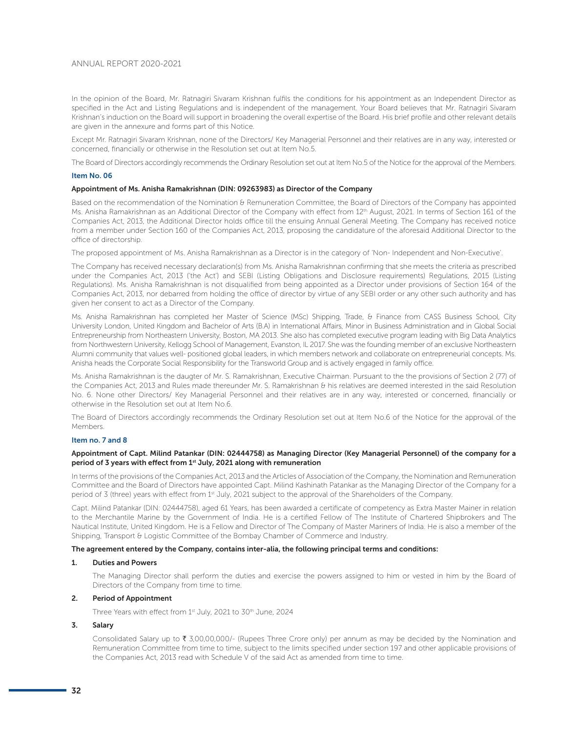In the opinion of the Board, Mr. Ratnagiri Sivaram Krishnan fulfils the conditions for his appointment as an Independent Director as specified in the Act and Listing Regulations and is independent of the management. Your Board believes that Mr. Ratnagiri Sivaram Krishnan's induction on the Board will support in broadening the overall expertise of the Board. His brief profile and other relevant details are given in the annexure and forms part of this Notice.

Except Mr. Ratnagiri Sivaram Krishnan, none of the Directors/ Key Managerial Personnel and their relatives are in any way, interested or concerned, financially or otherwise in the Resolution set out at Item No.5.

The Board of Directors accordingly recommends the Ordinary Resolution set out at Item No.5 of the Notice for the approval of the Members.

#### Item No. 06

#### Appointment of Ms. Anisha Ramakrishnan (DIN: 09263983) as Director of the Company

Based on the recommendation of the Nomination & Remuneration Committee, the Board of Directors of the Company has appointed Ms. Anisha Ramakrishnan as an Additional Director of the Company with effect from 12<sup>th</sup> August, 2021. In terms of Section 161 of the Companies Act, 2013, the Additional Director holds office till the ensuing Annual General Meeting. The Company has received notice from a member under Section 160 of the Companies Act, 2013, proposing the candidature of the aforesaid Additional Director to the office of directorship.

The proposed appointment of Ms. Anisha Ramakrishnan as a Director is in the category of 'Non- Independent and Non-Executive'.

The Company has received necessary declaration(s) from Ms. Anisha Ramakrishnan confirming that she meets the criteria as prescribed under the Companies Act, 2013 ('the Act') and SEBI (Listing Obligations and Disclosure requirements) Regulations, 2015 (Listing Regulations). Ms. Anisha Ramakrishnan is not disqualified from being appointed as a Director under provisions of Section 164 of the Companies Act, 2013, nor debarred from holding the office of director by virtue of any SEBI order or any other such authority and has given her consent to act as a Director of the Company.

Ms. Anisha Ramakrishnan has completed her Master of Science (MSc) Shipping, Trade, & Finance from CASS Business School, City University London, United Kingdom and Bachelor of Arts (B.A) in International Affairs, Minor in Business Administration and in Global Social Entrepreneurship from Northeastern University, Boston, MA 2013. She also has completed executive program leading with Big Data Analytics from Northwestern University, Kellogg School of Management, Evanston, IL 2017. She was the founding member of an exclusive Northeastern Alumni community that values well- positioned global leaders, in which members network and collaborate on entrepreneurial concepts. Ms. Anisha heads the Corporate Social Responsibility for the Transworld Group and is actively engaged in family office.

Ms. Anisha Ramakrishnan is the daugter of Mr. S. Ramakrishnan, Executive Chairman. Pursuant to the the provisions of Section 2 (77) of the Companies Act, 2013 and Rules made thereunder Mr. S. Ramakrishnan & his relatives are deemed interested in the said Resolution No. 6. None other Directors/ Key Managerial Personnel and their relatives are in any way, interested or concerned, financially or otherwise in the Resolution set out at Item No.6.

The Board of Directors accordingly recommends the Ordinary Resolution set out at Item No.6 of the Notice for the approval of the Members.

# Item no. 7 and 8

## Appointment of Capt. Milind Patankar (DIN: 02444758) as Managing Director (Key Managerial Personnel) of the company for a period of 3 years with effect from 1<sup>st</sup> July, 2021 along with remuneration

In terms of the provisions of the Companies Act, 2013 and the Articles of Association of the Company, the Nomination and Remuneration Committee and the Board of Directors have appointed Capt. Milind Kashinath Patankar as the Managing Director of the Company for a period of 3 (three) years with effect from 1st July, 2021 subject to the approval of the Shareholders of the Company.

Capt. Milind Patankar (DIN: 02444758), aged 61 Years, has been awarded a certificate of competency as Extra Master Mainer in relation to the Merchantile Marine by the Government of India. He is a certified Fellow of The Institute of Chartered Shipbrokers and The Nautical Institute, United Kingdom. He is a Fellow and Director of The Company of Master Mariners of India. He is also a member of the Shipping, Transport & Logistic Committee of the Bombay Chamber of Commerce and Industry.

#### The agreement entered by the Company, contains inter-alia, the following principal terms and conditions:

#### 1. Duties and Powers

 The Managing Director shall perform the duties and exercise the powers assigned to him or vested in him by the Board of Directors of the Company from time to time.

#### 2. Period of Appointment

Three Years with effect from 1st July, 2021 to 30th June, 2024

# 3. Salary

Consolidated Salary up to  $\bar{\tau}$  3,00,00,000/- (Rupees Three Crore only) per annum as may be decided by the Nomination and Remuneration Committee from time to time, subject to the limits specified under section 197 and other applicable provisions of the Companies Act, 2013 read with Schedule V of the said Act as amended from time to time.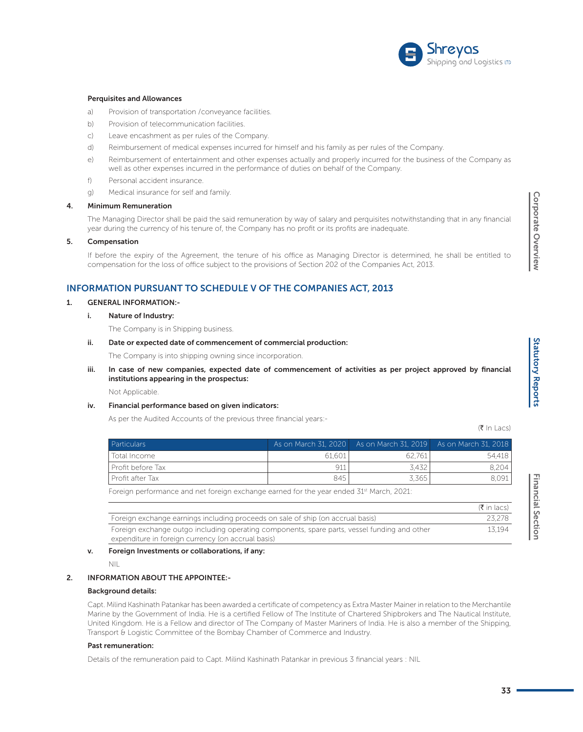

#### Perquisites and Allowances

- a) Provision of transportation / conveyance facilities.
- b) Provision of telecommunication facilities.
- c) Leave encashment as per rules of the Company.
- d) Reimbursement of medical expenses incurred for himself and his family as per rules of the Company.
- e) Reimbursement of entertainment and other expenses actually and properly incurred for the business of the Company as well as other expenses incurred in the performance of duties on behalf of the Company.
- f) Personal accident insurance.
- g) Medical insurance for self and family.

#### 4. Minimum Remuneration

 The Managing Director shall be paid the said remuneration by way of salary and perquisites notwithstanding that in any financial year during the currency of his tenure of, the Company has no profit or its profits are inadequate.

#### 5. Compensation

 If before the expiry of the Agreement, the tenure of his office as Managing Director is determined, he shall be entitled to compensation for the loss of office subject to the provisions of Section 202 of the Companies Act, 2013.

# INFORMATION PURSUANT TO SCHEDULE V OF THE COMPANIES ACT, 2013

#### 1. GENERAL INFORMATION:-

## i. Nature of Industry:

The Company is in Shipping business.

### ii. Date or expected date of commencement of commercial production:

The Company is into shipping owning since incorporation.

 iii. In case of new companies, expected date of commencement of activities as per project approved by financial institutions appearing in the prospectus:

Not Applicable.

# iv. Financial performance based on given indicators:

As per the Audited Accounts of the previous three financial years:-

 $(\bar{\bar{\tau}} \ln \vert \text{acs})$ 

| <b>Particulars</b> |        | $\overline{1}$ As on March 31, 2020 As on March 31, 2019 As on March 31, 2018 |        |
|--------------------|--------|-------------------------------------------------------------------------------|--------|
| Total Income       | 61.601 | 62.761                                                                        | 54.418 |
| Profit before Tax  | 911    | 3.432                                                                         | 8.204  |
| Profit after Tax   | 845    | 3.365                                                                         | 8,091  |

|                                                                                                                                                    | $(\bar{\bar{\mathbf{x}}}$ in lacs) |
|----------------------------------------------------------------------------------------------------------------------------------------------------|------------------------------------|
| Foreign exchange earnings including proceeds on sale of ship (on accrual basis)                                                                    | 23.278                             |
| Foreign exchange outgo including operating components, spare parts, vessel funding and other<br>expenditure in foreign currency (on accrual basis) | 13.194                             |

#### v. Foreign Investments or collaborations, if any:

NIL

# 2. INFORMATION ABOUT THE APPOINTEE:-

#### Background details:

 Capt. Milind Kashinath Patankar has been awarded a certificate of competency as Extra Master Mainer in relation to the Merchantile Marine by the Government of India. He is a certified Fellow of The Institute of Chartered Shipbrokers and The Nautical Institute, United Kingdom. He is a Fellow and director of The Company of Master Mariners of India. He is also a member of the Shipping, Transport & Logistic Committee of the Bombay Chamber of Commerce and Industry.

#### Past remuneration:

Details of the remuneration paid to Capt. Milind Kashinath Patankar in previous 3 financial years : NIL

Corporate Overview Corporate Overview Corporate Overview Corporate Overview Corporate Overview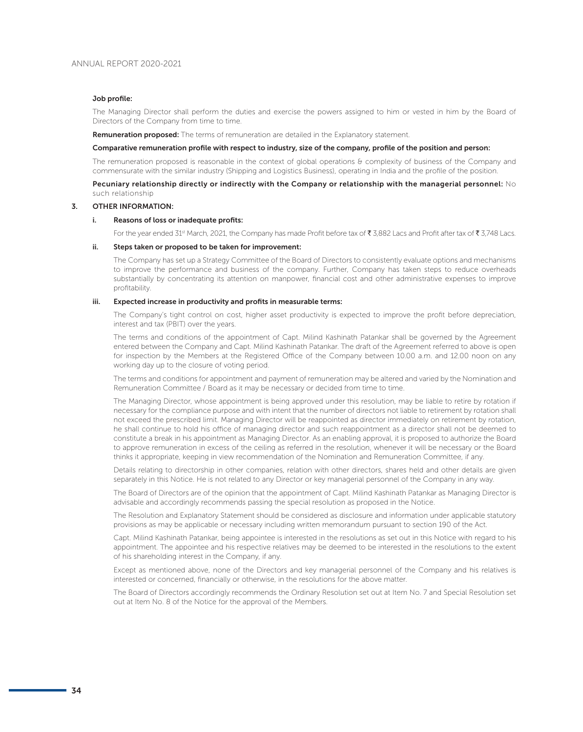#### Job profile:

 The Managing Director shall perform the duties and exercise the powers assigned to him or vested in him by the Board of Directors of the Company from time to time.

**Remuneration proposed:** The terms of remuneration are detailed in the Explanatory statement.

#### Comparative remuneration profile with respect to industry, size of the company, profile of the position and person:

The remuneration proposed is reasonable in the context of global operations & complexity of business of the Company and commensurate with the similar industry (Shipping and Logistics Business), operating in India and the profile of the position.

Pecuniary relationship directly or indirectly with the Company or relationship with the managerial personnel:  $No$ such relationship

## 3. OTHER INFORMATION:

#### i. Reasons of loss or inadequate profits:

For the year ended 31<sup>st</sup> March, 2021, the Company has made Profit before tax of  $\bar{\tau}$  3,882 Lacs and Profit after tax of  $\bar{\tau}$  3,748 Lacs.

#### ii. Steps taken or proposed to be taken for improvement:

 The Company has set up a Strategy Committee of the Board of Directors to consistently evaluate options and mechanisms to improve the performance and business of the company. Further, Company has taken steps to reduce overheads substantially by concentrating its attention on manpower, financial cost and other administrative expenses to improve profitability.

#### iii. Expected increase in productivity and profits in measurable terms:

 The Company's tight control on cost, higher asset productivity is expected to improve the profit before depreciation, interest and tax (PBIT) over the years.

 The terms and conditions of the appointment of Capt. Milind Kashinath Patankar shall be governed by the Agreement entered between the Company and Capt. Milind Kashinath Patankar. The draft of the Agreement referred to above is open for inspection by the Members at the Registered Office of the Company between 10.00 a.m. and 12.00 noon on any working day up to the closure of voting period.

 The terms and conditions for appointment and payment of remuneration may be altered and varied by the Nomination and Remuneration Committee / Board as it may be necessary or decided from time to time.

 The Managing Director, whose appointment is being approved under this resolution, may be liable to retire by rotation if necessary for the compliance purpose and with intent that the number of directors not liable to retirement by rotation shall not exceed the prescribed limit. Managing Director will be reappointed as director immediately on retirement by rotation, he shall continue to hold his office of managing director and such reappointment as a director shall not be deemed to constitute a break in his appointment as Managing Director. As an enabling approval, it is proposed to authorize the Board to approve remuneration in excess of the ceiling as referred in the resolution, whenever it will be necessary or the Board thinks it appropriate, keeping in view recommendation of the Nomination and Remuneration Committee, if any.

 Details relating to directorship in other companies, relation with other directors, shares held and other details are given separately in this Notice. He is not related to any Director or key managerial personnel of the Company in any way.

 The Board of Directors are of the opinion that the appointment of Capt. Milind Kashinath Patankar as Managing Director is advisable and accordingly recommends passing the special resolution as proposed in the Notice.

 The Resolution and Explanatory Statement should be considered as disclosure and information under applicable statutory provisions as may be applicable or necessary including written memorandum pursuant to section 190 of the Act.

 Capt. Milind Kashinath Patankar, being appointee is interested in the resolutions as set out in this Notice with regard to his appointment. The appointee and his respective relatives may be deemed to be interested in the resolutions to the extent of his shareholding interest in the Company, if any.

 Except as mentioned above, none of the Directors and key managerial personnel of the Company and his relatives is interested or concerned, financially or otherwise, in the resolutions for the above matter.

 The Board of Directors accordingly recommends the Ordinary Resolution set out at Item No. 7 and Special Resolution set out at Item No. 8 of the Notice for the approval of the Members.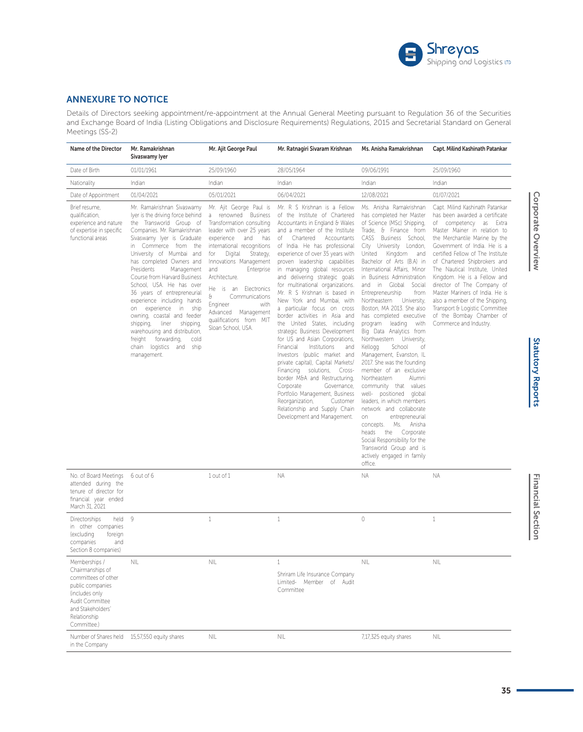

# ANNEXURE TO NOTICE

Details of Directors seeking appointment/re-appointment at the Annual General Meeting pursuant to Regulation 36 of the Securities and Exchange Board of India (Listing Obligations and Disclosure Requirements) Regulations, 2015 and Secretarial Standard on General Meetings (SS-2)

| Name of the Director                                                                                                                                                  | Mr. Ramakrishnan<br>Sivaswamy Iyer                                                                                                                                                                                                                                                                                                                                                                                                                                                                                                                                                               | Mr. Ajit George Paul                                                                                                                                                                                                                                                                                                                                                                                            | Mr. Ratnagiri Sivaram Krishnan                                                                                                                                                                                                                                                                                                                                                                                                                                                                                                                                                                                                                                                                                                                                                                                                                                                                                                                       | Ms. Anisha Ramakrishnan                                                                                                                                                                                                                                                                                                                                                                                                                                                                                                                                                                                                                                                                                                                                                                                                                                                                                                                                 | Capt. Milind Kashinath Patankar                                                                                                                                                                                                                                                                                                                                                                                                                                                                                               |
|-----------------------------------------------------------------------------------------------------------------------------------------------------------------------|--------------------------------------------------------------------------------------------------------------------------------------------------------------------------------------------------------------------------------------------------------------------------------------------------------------------------------------------------------------------------------------------------------------------------------------------------------------------------------------------------------------------------------------------------------------------------------------------------|-----------------------------------------------------------------------------------------------------------------------------------------------------------------------------------------------------------------------------------------------------------------------------------------------------------------------------------------------------------------------------------------------------------------|------------------------------------------------------------------------------------------------------------------------------------------------------------------------------------------------------------------------------------------------------------------------------------------------------------------------------------------------------------------------------------------------------------------------------------------------------------------------------------------------------------------------------------------------------------------------------------------------------------------------------------------------------------------------------------------------------------------------------------------------------------------------------------------------------------------------------------------------------------------------------------------------------------------------------------------------------|---------------------------------------------------------------------------------------------------------------------------------------------------------------------------------------------------------------------------------------------------------------------------------------------------------------------------------------------------------------------------------------------------------------------------------------------------------------------------------------------------------------------------------------------------------------------------------------------------------------------------------------------------------------------------------------------------------------------------------------------------------------------------------------------------------------------------------------------------------------------------------------------------------------------------------------------------------|-------------------------------------------------------------------------------------------------------------------------------------------------------------------------------------------------------------------------------------------------------------------------------------------------------------------------------------------------------------------------------------------------------------------------------------------------------------------------------------------------------------------------------|
| Date of Birth                                                                                                                                                         | 01/01/1961                                                                                                                                                                                                                                                                                                                                                                                                                                                                                                                                                                                       | 25/09/1960                                                                                                                                                                                                                                                                                                                                                                                                      | 28/05/1964                                                                                                                                                                                                                                                                                                                                                                                                                                                                                                                                                                                                                                                                                                                                                                                                                                                                                                                                           | 09/06/1991                                                                                                                                                                                                                                                                                                                                                                                                                                                                                                                                                                                                                                                                                                                                                                                                                                                                                                                                              | 25/09/1960                                                                                                                                                                                                                                                                                                                                                                                                                                                                                                                    |
| Nationality                                                                                                                                                           | Indian                                                                                                                                                                                                                                                                                                                                                                                                                                                                                                                                                                                           | Indian                                                                                                                                                                                                                                                                                                                                                                                                          | Indian                                                                                                                                                                                                                                                                                                                                                                                                                                                                                                                                                                                                                                                                                                                                                                                                                                                                                                                                               | Indian                                                                                                                                                                                                                                                                                                                                                                                                                                                                                                                                                                                                                                                                                                                                                                                                                                                                                                                                                  | Indian                                                                                                                                                                                                                                                                                                                                                                                                                                                                                                                        |
| Date of Appointment                                                                                                                                                   | 01/04/2021                                                                                                                                                                                                                                                                                                                                                                                                                                                                                                                                                                                       | 05/01/2021                                                                                                                                                                                                                                                                                                                                                                                                      | 06/04/2021                                                                                                                                                                                                                                                                                                                                                                                                                                                                                                                                                                                                                                                                                                                                                                                                                                                                                                                                           | 12/08/2021                                                                                                                                                                                                                                                                                                                                                                                                                                                                                                                                                                                                                                                                                                                                                                                                                                                                                                                                              | 01/07/2021                                                                                                                                                                                                                                                                                                                                                                                                                                                                                                                    |
| Brief resume,<br>qualification,<br>experience and nature<br>of expertise in specific<br>functional areas                                                              | Mr. Ramakrishnan Sivaswamy<br>lyer is the driving force behind<br>the Transworld Group of<br>Companies. Mr. Ramakrishnan<br>Sivaswamy lyer is Graduate<br>in Commerce from the<br>University of Mumbai and<br>has completed Owners and<br>Presidents<br>Management<br>Course from Harvard Business<br>School, USA. He has over<br>36 years of entrepreneurial<br>experience including hands<br>on experience in ship<br>owning, coastal and feeder<br>liner shipping,<br>shipping,<br>warehousing and distribution,<br>freight<br>forwarding,<br>cold<br>chain logistics and ship<br>management. | Mr. Ajit George Paul is<br>a renowned Business<br>Transformation consulting<br>leader with over 25 years<br>and<br>has<br>experience<br>international recognitions<br>Digital<br>Strategy,<br>for<br>Innovations Management<br>Enterprise<br>and<br>Architecture.<br>is an Electronics<br>He<br>€<br>Communications<br>with<br>Engineer<br>Advanced Management<br>qualifications from MIT<br>Sloan School, USA. | Mr. R S Krishnan is a Fellow<br>of the Institute of Chartered<br>Accountants in England & Wales<br>and a member of the Institute<br>Chartered Accountants<br>of<br>of India. He has professional<br>experience of over 35 years with<br>proven leadership capabilities<br>in managing global resources<br>and delivering strategic goals<br>for multinational organizations.<br>Mr. R S Krishnan is based in<br>New York and Mumbai, with<br>a particular focus on cross<br>border activities in Asia and<br>the United States, including<br>strategic Business Development<br>for US and Asian Corporations,<br>Financial<br>Institutions<br>and<br>Investors (public market and<br>private capital), Capital Markets/<br>Financing solutions, Cross-<br>border M&A and Restructuring,<br>Corporate<br>Governance,<br>Portfolio Management, Business<br>Reorganization,<br>Customer<br>Relationship and Supply Chain<br>Development and Management. | Ms. Anisha Ramakrishnan<br>has completed her Master<br>of Science (MSc) Shipping,<br>Trade, & Finance from<br>CASS Business School,<br>City University London,<br>United Kingdom<br>and<br>Bachelor of Arts (B.A) in<br>International Affairs. Minor<br>in Business Administration<br>and in Global Social<br>from<br>Entrepreneurship<br>University,<br>Northeastern<br>Boston, MA 2013. She also<br>has completed executive<br>program leading with<br>Big Data Analytics from<br>Northwestern University,<br>Kellogg<br>School<br>of<br>Management, Evanston, IL<br>2017. She was the founding<br>member of an exclusive<br>Northeastern<br>Alumni<br>community that values<br>well- positioned global<br>leaders, in which members<br>network and collaborate<br>entrepreneurial<br>on<br>Ms. Anisha<br>concepts.<br>Corporate<br>heads<br>the<br>Social Responsibility for the<br>Transworld Group and is<br>actively engaged in family<br>office. | Capt. Milind Kashinath Patankar<br>has been awarded a certificate<br>of competency as Extra<br>Master Mainer in relation to<br>the Merchantile Marine by the<br>Government of India. He is a<br>certified Fellow of The Institute<br>of Chartered Shipbrokers and<br>The Nautical Institute, United<br>Kingdom. He is a Fellow and<br>director of The Company of<br>Master Mariners of India. He is<br>also a member of the Shipping,<br>Transport & Logistic Committee<br>of the Bombay Chamber of<br>Commerce and Industry. |
| No. of Board Meetings<br>attended during the<br>tenure of director for<br>financial year ended<br>March 31, 2021                                                      | 6 out of 6                                                                                                                                                                                                                                                                                                                                                                                                                                                                                                                                                                                       | 1 out of 1                                                                                                                                                                                                                                                                                                                                                                                                      | ΝA                                                                                                                                                                                                                                                                                                                                                                                                                                                                                                                                                                                                                                                                                                                                                                                                                                                                                                                                                   | ΝA                                                                                                                                                                                                                                                                                                                                                                                                                                                                                                                                                                                                                                                                                                                                                                                                                                                                                                                                                      | NA.                                                                                                                                                                                                                                                                                                                                                                                                                                                                                                                           |
| held<br>Directorships<br>in other companies<br>(excluding<br>foreign<br>companies<br>and<br>Section 8 companies)                                                      | 9                                                                                                                                                                                                                                                                                                                                                                                                                                                                                                                                                                                                | $\mathbf{1}$                                                                                                                                                                                                                                                                                                                                                                                                    | $\mathbf{1}$                                                                                                                                                                                                                                                                                                                                                                                                                                                                                                                                                                                                                                                                                                                                                                                                                                                                                                                                         | $\mathbf{0}$                                                                                                                                                                                                                                                                                                                                                                                                                                                                                                                                                                                                                                                                                                                                                                                                                                                                                                                                            | $\mathbf{1}$                                                                                                                                                                                                                                                                                                                                                                                                                                                                                                                  |
| Memberships /<br>Chairmanships of<br>committees of other<br>public companies<br>(includes only<br>Audit Committee<br>and Stakeholders'<br>Relationship<br>Committee.) | ΝL                                                                                                                                                                                                                                                                                                                                                                                                                                                                                                                                                                                               | <b>NIL</b>                                                                                                                                                                                                                                                                                                                                                                                                      | $\mathbf{1}$<br>Shriram Life Insurance Company<br>Limited- Member of Audit<br>Committee                                                                                                                                                                                                                                                                                                                                                                                                                                                                                                                                                                                                                                                                                                                                                                                                                                                              | <b>NIL</b>                                                                                                                                                                                                                                                                                                                                                                                                                                                                                                                                                                                                                                                                                                                                                                                                                                                                                                                                              | NIL                                                                                                                                                                                                                                                                                                                                                                                                                                                                                                                           |
| in the Company                                                                                                                                                        | Number of Shares held 15,57,550 equity shares                                                                                                                                                                                                                                                                                                                                                                                                                                                                                                                                                    | NIL                                                                                                                                                                                                                                                                                                                                                                                                             | NIL                                                                                                                                                                                                                                                                                                                                                                                                                                                                                                                                                                                                                                                                                                                                                                                                                                                                                                                                                  | 7,17,325 equity shares                                                                                                                                                                                                                                                                                                                                                                                                                                                                                                                                                                                                                                                                                                                                                                                                                                                                                                                                  | NIL                                                                                                                                                                                                                                                                                                                                                                                                                                                                                                                           |

Statutory Reports Corporate Overview Corporate Overview Corporate Overview Corporate Overview

**Statutory Reports** 

**Financial Section** 

Corporate Overview